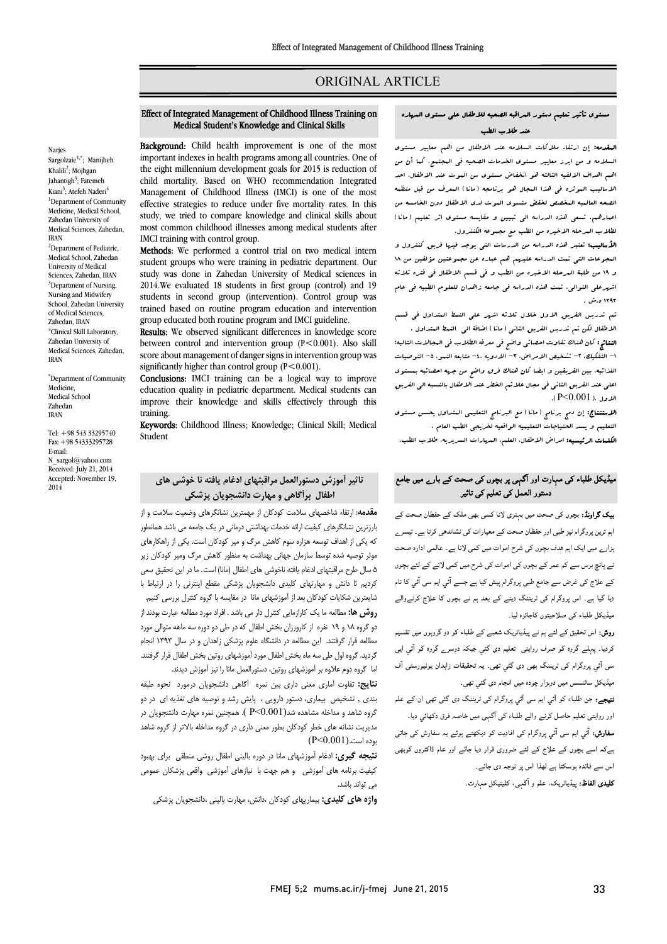# ORIGINAL ARTICLE

# مستوي تأثیر تعلیم دستور المراقبه الصحیه للاطفال علی مستوي المهاره عند طلاب الطب

Ī 

**المقدمه:** إن ارتقاء ملاکات السلامه عند الاطفال من اهم معاییر مستوی<br>المعقدمه: إن ارتقاء ملاکات السلامه ۔ سامب کے سن الرک سیورک سامب کے سامب سے سندسی سن الموقع الی سن الی سن<br>اهم اهداف الالفیه الثالثه هو انخفاض مستوی سن الموت عند الاطفال، احد ،<br>الاسالیب البوثره فی هذا البجال هو برنامجه (مانا) البعرف من قبل منظبه الصحه العالمیه المخصص لخفض متسوي الموت لدي الاطفال دون الخامسه من اعمارهم. تسعی هذه الدراسه الی تبیین و مقایسه مستوي اثر تعلیم (مانا) لطلاب المرحله الاخیره من الطب مع مجموعه الکنترول. السلامه و من ابرز معاییر مستوي الخدمات الصحیه فی المجتمع. کما أن من

ا**لأسالیب:** تعتبر هذه الدراسه من الدرسات التی یوجد فیها فریق کنترول و<br>م و 19 من طلبۀ المرحله الاخیره من الطب و فی قسم الاطفال فی فتره ثلاثه اشهرعلی التوالی. تمت هذه الدراسه فی جامعه زاهدان للعلوم الطبیه فی عام المجوعات التی تمت الدراسه علیهم هم عباره عن مجموعتین مؤلفین من 18 ۱۳۹۳ ه.ش.

 تم تدریس الفریق الاول خلال ثلاثه اشهر علی النمط المتداول فی قسم الاطفال لکن تم تدریس الفریق الثانی (مانا) اضافۀ الی النمط المتداول .

ا**لنتائج:** کان هناك تفاوت احصائی واضح فی معرفه الطلاب فی البحالات التالیه:<br>التقامی: التصویر وی التصویر التالی الغذائیه، بین الفریقین و ایضا کان هناك فرق واضح من جهه احصائیه بمستوي اعلی عند الفریق الثانی فی مجال علائم الخطر عند الاطفال بالنسبه الی الفریق الاول .( P<0.001). -1 التفکیک، -2 تشخیص الامراض، -3 الادویه -4، متابعه النمو، -5 التوصیات

 الاستنتاج: إن دمج برنامج (مانا) مع البرنامج التعلیمی المتداول یحسن مستوي التعلیم و یسد الحتیاجات التعلیمیه الواقعیه لخریجی الطب العام .

ا**لکلمات الرئیسیه:** امراض الاطفال. العلم. المهارات السریریه. طلاب الطب.<br>.

# میڈیکل طلباء کی مہارت اور آگہی پر بچوں کی صحت کے بارے میں جامع دستور العمل کی تعلیم کی تاثیر

**یک گراونڈ:** بچوں ک*ی ص*حت میں بہتری لانا کسی بھی ملک کے حفطان صحت کے <sub>۔</sub><br>ہم ترین پروگرام نیز طبی اور حفظان صحت کے معیارات کی نشاندھی کرتا ہے۔ تیسر<sub>ے</sub> ۔<br>زار<sub>ے</sub> میں ایک اہم ہدف بچوں کی شرح اموات میں کمی لانا ہے۔ عالمی ادارہ صحت ۔<br>بے پانچ برس سے کم عمر کے بچوں کی اموات کی شرح میں کمی لانے کے لئے بچوں ۔<br>کے علاج کی غرض سے جامع طبی پروگرام پیش کیا ہے جسے آئی ایم سی آئی کا نام ۔<br>دیا گیا ہے۔ اس پروگرام کی ٹریننگ دینے کے بعد ہم نے بچوں کا علاج کرنےوالے ۔<br>میڈیکل طلباء کی صلاحیتوں کاجائزہ لیا۔

ر**وش:** اس تحقیق کے لئے ہم نے پیڈیاٹریک شعبے کے طلباء کو دو گروہوں میں تقسیم د۔ وہ ف روا دی دوے وہ آ ا آ وام دی ۔ ت زاان ر آف دی ی پور ر ۱ ی ر.<br>میڈیکل سائنسس میں دوہزار چودہ میں انجام دی گئبي تھی۔

۔ ۔ ں<br>ت**یہجے:** جن طلباء کو آئي ايم سی آئي پروگرام کی ٹریننگ دی گئی تھی ان کے علم ور روایتی تعلیم حاصل کرنے والے طلباء کی آگہی میں خاصہ فرق دکھائی دیا۔<br>. **سفارش:** آئی ایم سی آئی<sub>ی پروگرام کی افادیت کو دیکھتے ہوئے یہ سفارش کی جاتی<br>۔</sub> ےکہ اسے بچوں کے علاج کے لئے ضروری قرار دیا جائے اور عام ڈاکٹروں کوبھی<br>۔ اس ہ ا اس دی ۔ **تلیدی الفاظ:** پیڈیاٹریک، علم و آگہی، کلینیکل مہارت۔<br>-

# Effect of Integrated Management of Childhood Illness Training on Medical Student's Knowledge and Clinical Skills

Ī  $\overline{a}$ 

Background: Child health improvement is one of the most important indexes in health programs among all countries. One of the eight millennium development goals for 2015 is reduction of Management of Childhood Illness (IMCI) is one of the most effective strategies to reduce under five mortality rates. In this study, we tried to compare knowledge and clinical skills about most common childhood illnesses among medical students after<br>IMCI training with control group child mortality. Based on WHO recommendation Integrated IMCI training with control group.

Methods: We performed a control trial on two medical intern student groups who were training in pediatric department. Our 2014.We evaluated 18 students in first group (control) and 19 students in second group (intervention). Control group was group educated both routine program and IMCI guideline. study was done in Zahedan University of Medical sciences in trained based on routine program education and intervention

Results: We observed significant differences in knowledge score between control and intervention group (r<0.001). Also skill<br>score about management of danger signs in intervention group was significantly higher than control group  $(P < 0.001)$ . between control and intervention group (P<0.001). Also skill

 Conclusions: IMCI training can be a logical way to improve improve their knowledge and skills effectively through this education quality in pediatric department. Medical students can training.

**Keywords:** Childhood Illness; Knowledge; Clinical Skill; Medical<br>Student Student

# تاثیر آموزش دستورالعمل مراقبتهاي ادغام یافته نا خوشی هاي اطفال برآگاهی و مهارت دانشجویان پزشکی

 مقدمه: ارتقاء شاخصهاي سلامت کودکان از مهمترین نشانگرهاي وضعیت سلامت و از بارزترین نشانگرهاي کیفیت ارائه خدمات بهداشتی درمانی در یک جامعه می باشد همانطور که یکی از اهداف توسعه هزاره سوم کاهش مرگ و میر کودکان است. یکی از راهکارهاي موثر توصیه شده توسط سازمان جهانی بهداشت به منظور کاهش مرگ ومیر کودکان زیر<br>میرسد به میرسد به میرسد به میرسد در این دوره در این میرسد به میرسد ه سال سرح سراجیتهای ادعام پایت دانوسی سای استار است) است. به در این دانشجوی سلی<br>کردیم تا دانش و مهارتهای کلیدی دانشجویان پزشکی مقطع اینترنی را در ارتباط با شایعترین شکایات کودکان بعد از آموزشهاي مانا در مقایسه با گروه کنترل بررسی کنیم. روش ها: مطالعه ما یک کارازمایی کنترل دار می باشد . افراد مورد مطالعه عبارت بودند از دو گروه 18 و 19 نفره از کارورزان بخش اطفال که در طی دو دوره سه ماهه متوالی مورد مطالعه قرار گرفتند. این مطالعه در دانشگاه علوم پزشکی زاهدان و در سال 1393 انجام گردید. گروه اول طی سه ماه بخش اطفال مورد آموزشهاي روتین بخش اطفال قرار گرفتند. اما گروه دوم علاوه بر آموزشهاي روتین، دستورالعمل مانا را نیز آموزش دیدند. 5 سال طرح مراقبتهاي ادغام یافته ناخوشی هاي اطفال (مانا) است. ما در این تحقیق سعی

**ساييم.** ساوت اهاري هغي بازي بين نمره مانسي دانسجويان برمورد محوه طبقه<br>بندي , تشخیص بیماري، دستور دارویی ، پایش رشد و توصیه هاي تغذیه اي در دو گروه شاهد و مداخله مشاهده شد(0.001>P( . همچنین نمره مهارت دانشجویان در مدیریت نشانه هاي خطر کودکان بطور معنی داري در گروه مداخله بالاتر از گروه شاهد نتایج: تفاوت آماري معنی داري بین نمره آگاهی دانشجویان درمورد نحوه طبقه بوده است.(0.001>P(

 نتیجه گیري: ادغام آموزشهاي مانا در دوره بالینی اطفال روشی منطقی براي بهبود کیفیت برنامه هاي آموزشی و هم جهت با نیازهاي آموزشی واقعی پزشکان عمومی می تواند باشد.

**واژه های کلیدی:** بیماریهای کودکان ،دانش، مهارت بالینی ،دانشجویان پزشکی<br>.

Narjes Sargolzaie1,\*; Manijheh Khalili<sup>2</sup>; Mojhgan Jahantigh<sup>3</sup>; Fatemeh Kiani<sup>3</sup>; Atefeh Naderi<sup>4</sup> <sup>1</sup>Department of Community Medicine, Medical School, Zahedan University of Medical Sciences, Zahedan, IRAN <sup>2</sup>Department of Pediatric, Medical School, Zahedan University of Medical Sciences, Zahedan, IRAN <sup>3</sup>Department of Nursing, Nursing and Midwifery School, Zahedan University of Medical Sciences, Zahedan, IRAN 4 Clinical Skill Laboratory, Zahedan University of Medical Sciences, Zahedan, IRAN

\* Department of Community Medicine, Medical School Zahedan IRAN

Tel: +98 543 33295740 Fax:+98 54333295728 E-mail: N\_sargol@yahoo.com Received: July 21, 2014 Accepted: November 19, 2014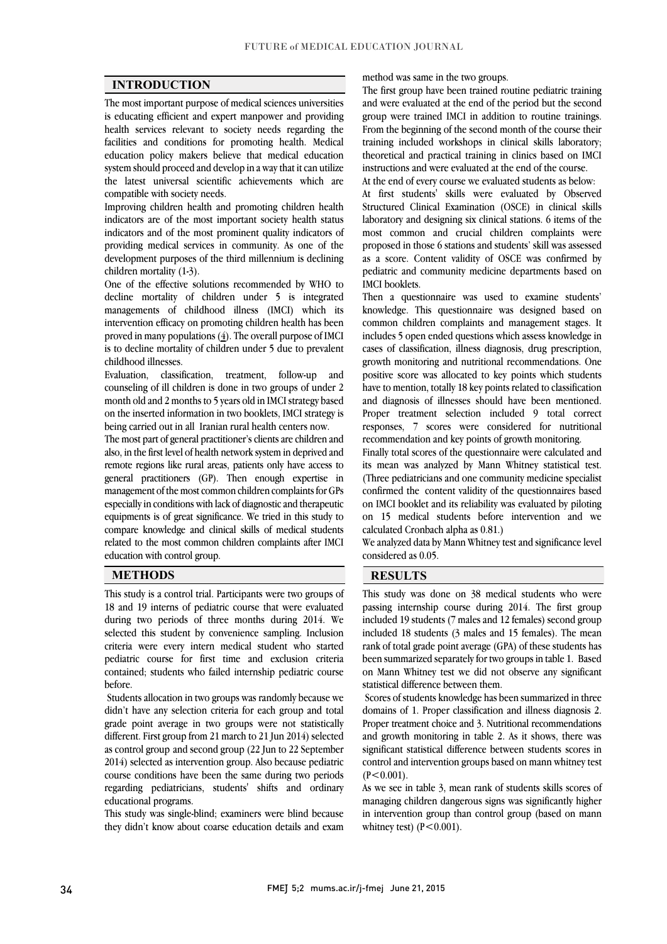$\overline{a}$  $\overline{a}$ 

# INTRODUCTION

 The most important purpose of medical sciences universities is educating efficient and expert manpower and providing facilities and conditions for promoting health. Medical education policy makers believe that medical education system should proceed and develop in a way that it can utilize the latest universal scientific achievements which are health services relevant to society needs regarding the compatible with society needs.

 Improving children health and promoting children health indicators are of the most important society health status indicators and of the most prominent quality indicators of providing medical services in community. As one of the development purposes of the third millennium is declining<br>children mortality (1-3) children mortality (1-3).

 One of the effective solutions recommended by WHO to decline mortality of children under 5 is integrated managements of childhood illness (IMCI) which its<br>interresting effective a grapesting shildren health has been proved in many populations (4). The overall purpose of IMCI is to decline mortality of children under 5 due to prevalent intervention efficacy on promoting children health has been childhood illnesses.

 counseling of ill children is done in two groups of under 2 month old and 2 months to 5 years old in IMCI strategy based on the inserted information in two booklets, IMCI strategy is Evaluation, classification, treatment, follow-up and being carried out in all Iranian rural health centers now.

being carried out in all Iranian rural health centers now.<br>The most part of general practitioner's clients are children and also, in the first level of health network system in deprived and remote regions like rural areas, patients only have access to general practitioners (GP). Then enough expertise in management of the most common children complaints for GPs equipments is of great significance. We tried in this study to compare knowledge and clinical skills of medical students related to the most common children complaints after IMCI  $\overline{a}$ especially in conditions with lack of diagnostic and therapeutic education with control group.

### METHODS RESULTS

 This study is a control trial. Participants were two groups of 18 and 19 interns of pediatric course that were evaluated during two periods of three months during 2014. We criteria were every intern medical student who started pediatric course for first time and exclusion criteria contained; students who failed internship pediatric course selected this student by convenience sampling. Inclusion before.

 Students allocation in two groups was randomly because we didn't have any selection criteria for each group and total grade point average in two groups were not statistically different. First group from 21 march to 21 Jun 2014) selected  $2014$ ) selected as intervention group. Also because pediatric course conditions have been the same during two periods regarding pediatricians, students' shifts and ordinary as control group and second group (22 Jun to 22 September educational programs.

eaucationai programs.<br>This study was single-blind; examiners were blind because they didn't know about coarse education details and examined method was same in the two groups.

 The first group have been trained routine pediatric training and were evaluated at the end of the period but the second group were trained IMCI in addition to routine trainings. training included workshops in clinical skills laboratory; theoretical and practical training in clinics based on IMCI From the beginning of the second month of the course their instructions and were evaluated at the end of the course. At the end of every course we evaluated students as below:

 At first students' skills were evaluated by Observed Structured Clinical Examination (OSCE) in clinical skills laboratory and designing six clinical stations. 6 items of the most common and crucial children complaints were as a score. Content validity of OSCE was confirmed by pediatric and community medicine departments based on proposed in those 6 stations and students' skill was assessed IMCI booklets.

 Then a questionnaire was used to examine students' common children complaints and management stages. It includes 5 open ended questions which assess knowledge in cases of classification, illness diagnosis, drug prescription, growth monitoring and nutritional recommendations. One have to mention, totally 18 key points related to classification and diagnosis of illnesses should have been mentioned. Proper treatment selection included 9 total correct responses, 7 scores were considered for nutritional knowledge. This questionnaire was designed based on positive score was allocated to key points which students recommendation and key points of growth monitoring.

Finally total scores of the questionnaire were calculated and its mean was analyzed by Mann Whitney statistical test. (Three pediatricians and one community medicine specialist confirmed the content validity of the questionnaires based<br>as a MCI haddet and its additional understand has alleged on 15 medical students before intervention and we on IMCI booklet and its reliability was evaluated by piloting calculated Cronbach alpha as 0.81.)

 We analyzed data by Mann Whitney test and significance level  $\overline{a}$ considered as 0.05.

 $\overline{a}$ 

 This study was done on 38 medical students who were passing internship course during 2014. The first group included 18 students (3 males and 15 females). The mean rank of total grade point average (GPA) of these students has been summarized separately for two groups in table 1. Based on Mann Whitney test we did not observe any significant included 19 students (7 males and 12 females) second group statistical difference between them.

 Scores of students knowledge has been summarized in three domains of 1. Proper classification and illness diagnosis 2. Proper treatment choice and 3. Nutritional recommendations and growth monitoring in table 2. As it shows, there was control and intervention groups based on mann whitney test significant statistical difference between students scores in  $(P<0.001)$ .

 As we see in table 3, mean rank of students skills scores of managing children dangerous signs was significantly higher in intervention group than control group (based on mann whitney test)  $(P < 0.001)$ whitney test)  $(P<0.001)$ .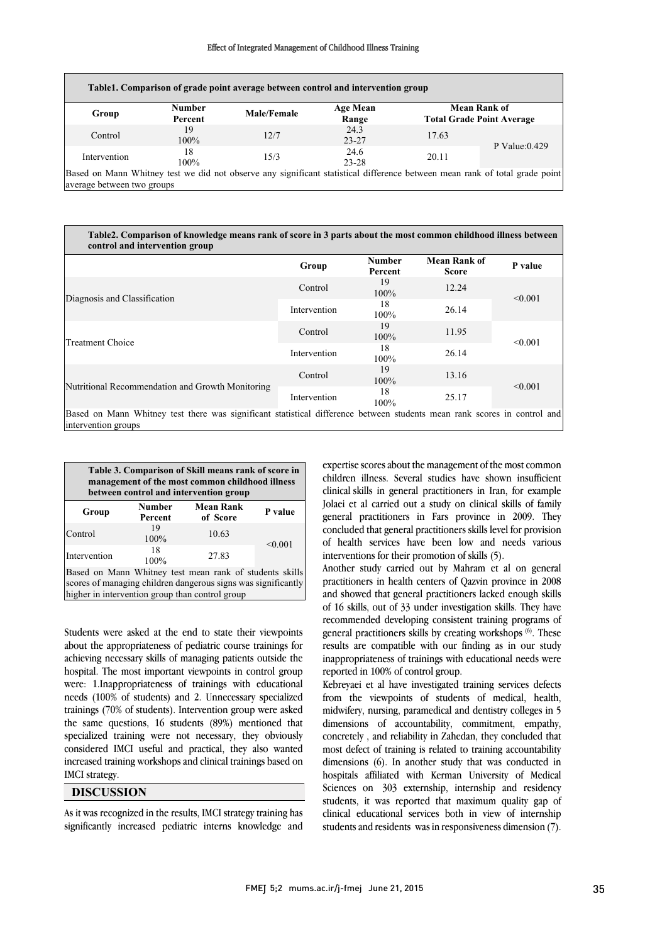#### Effect of Integrated Management of Childhood Illness Training

|              | <b>Number</b> |             |                   | <b>Mean Rank of</b> |                                  |
|--------------|---------------|-------------|-------------------|---------------------|----------------------------------|
| Group        | Percent       | Male/Female | Age Mean<br>Range |                     | <b>Total Grade Point Average</b> |
| Control      | 19<br>100%    | 12/7        | 24.3<br>$23 - 27$ | 17.63               |                                  |
| Intervention | 18<br>100%    | 15/3        | 24.6<br>$23 - 28$ | 20.11               | P Value: $0.429$                 |

 Table2. Comparison of knowledge means rank of score in 3 parts about the most common childhood illness between control and intervention and intervention and intervention and intervention and intervention and intervention and intervention and intervention and intervention and intervention and intervention and intervention and a matt

| control and intervention group                                                                                                                  |                            |                          |                                     |              |  |
|-------------------------------------------------------------------------------------------------------------------------------------------------|----------------------------|--------------------------|-------------------------------------|--------------|--|
|                                                                                                                                                 | Group                      | <b>Number</b><br>Percent | <b>Mean Rank of</b><br><b>Score</b> | P value      |  |
| Diagnosis and Classification                                                                                                                    | Control                    | 19<br>100%               | 12.24                               | < 0.001      |  |
|                                                                                                                                                 | Intervention               | 18<br>100%               | 26.14                               |              |  |
| <b>Treatment Choice</b>                                                                                                                         | Control                    | 19<br>100%               | 11.95                               | $\leq 0.001$ |  |
|                                                                                                                                                 | 18<br>Intervention<br>100% |                          | 26.14                               |              |  |
| Nutritional Recommendation and Growth Monitoring                                                                                                | Control                    | 19<br>100%               | 13.16                               | < 0.001      |  |
|                                                                                                                                                 | Intervention               | 18<br>100%               | 25.17                               |              |  |
| Based on Mann Whitney test there was significant statistical difference between students mean rank scores in control and<br>intervention groups |                            |                          |                                     |              |  |

 $\overline{a}$ 

| Table 3. Comparison of Skill means rank of score in<br>management of the most common childhood illness<br>between control and intervention group                            |                                                          |       |         |  |  |  |  |
|-----------------------------------------------------------------------------------------------------------------------------------------------------------------------------|----------------------------------------------------------|-------|---------|--|--|--|--|
| Group                                                                                                                                                                       | <b>Mean Rank</b><br><b>Number</b><br>of Score<br>Percent |       | P value |  |  |  |  |
| Control                                                                                                                                                                     | 19<br>100%                                               | 10.63 | < 0.001 |  |  |  |  |
| Intervention                                                                                                                                                                | 18<br>100%                                               | 27.83 |         |  |  |  |  |
| Based on Mann Whitney test mean rank of students skills<br>scores of managing children dangerous signs was significantly<br>higher in intervention group than control group |                                                          |       |         |  |  |  |  |

 Students were asked at the end to state their viewpoints about the appropriateness of pediatric course trainings for achieving necessary skills of managing patients outside the hospital. The most important viewpoints in control group needs (100% of students) and 2. Unnecessary specialized trainings (70% of students). Intervention group were asked the same questions, 16 students (89%) mentioned that specialized training were not necessary, they obviously increased training workshops and clinical trainings based on were: 1.Inappropriateness of trainings with educational considered IMCI useful and practical, they also wanted IMCI strategy.

#### DISCUSSION

 As it was recognized in the results, IMCI strategy training has significantly increased pediatric interns knowledge and

 expertise scores about the management of the most common children illness. Several studies have shown insufficient Jolaei et al carried out a study on clinical skills of family general practitioners in Fars province in 2009. They concluded that general practitioners skills level for provision of health services have been low and needs various clinical skills in general practitioners in Iran, for example interventions for their promotion of skills (5).

l

 Another study carried out by Mahram et al on general practitioners in health centers of Qazvin province in 2008 and showed that general practitioners lacked enough skills of 16 skills, out of 33 under investigation skills. They have ecommented developing consistent training programs of<br>general practitioners skills by creating workshops <sup>(6)</sup>. These results are compatible with our finding as in our study inappropriateness of trainings with educational needs were recommended developing consistent training programs of reported in 100% of control group.

reported in 100% of control group.<br>Kebreyaei et al have investigated training services defects from the viewpoints of students of medical, health, midwifery, nursing, paramedical and dentistry colleges in 5 dimensions of accountability, commitment, empathy, concretely , and reliability in Zahedan, they concluded that dimensions (6). In another study that was conducted in hospitals affiliated with Kerman University of Medical Sciences on 303 externship, internship and residency students, it was reported that maximum quality gap of students and residents was in responsiveness dimension (7). most defect of training is related to training accountability clinical educational services both in view of internship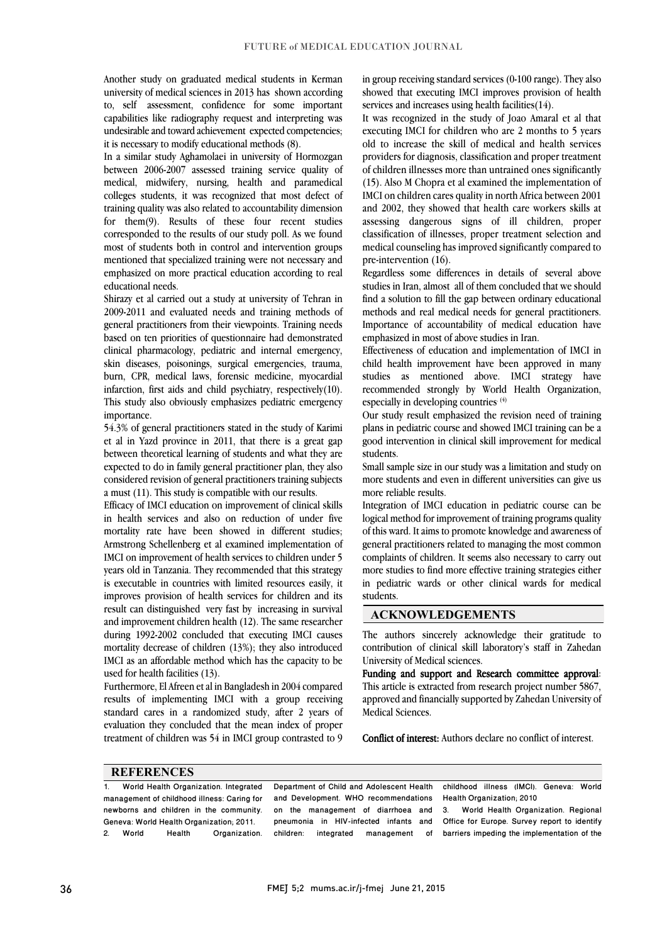Another study on graduated medical students in Kerman university of medical sciences in 2013 has shown according to, self assessment, confidence for some important capabilities like radiography request and interpreting was undesirable and toward achievement expected competencies; it is necessary to modify educational methods (8).

In a similar study Aghamolaei in university of Hormozgan between 2006-2007 assessed training service quality of medical, midwifery, nursing, health and paramedical training quality was also related to accountability dimension for them(9). Results of these four recent studies corresponded to the results of our study poll. As we found most of students both in control and intervention groups emphasized on more practical education according to real colleges students, it was recognized that most defect of mentioned that specialized training were not necessary and educational needs.

 Shirazy et al carried out a study at university of Tehran in 2009-2011 and evaluated needs and training methods of based on ten priorities of questionnaire had demonstrated clinical pharmacology, pediatric and internal emergency, skin diseases, poisonings, surgical emergencies, trauma, burn, CPR, medical laws, forensic medicine, myocardial This study also obviously emphasizes pediatric emergency Ĩ general practitioners from their viewpoints. Training needs infarction, first aids and child psychiatry, respectively(10). importance.

 54.3% of general practitioners stated in the study of Karimi et at in 1 aza province in 2011, that there is a great gap<br>between theoretical learning of students and what they are expected to do in family general practitioner plan, they also considered revision of general practitioners training subjects et al in Yazd province in 2011, that there is a great gap a must (11). This study is compatible with our results.

Efficacy of IMCI education on improvement of clinical skills<br>in health, settings, and also an industion of under five mortality rate have been showed in different studies; Armstrong Schellenberg et al examined implementation of IMCI on improvement of health services to children under 5 is executable in countries with limited resources easily, it improves provision of health services for children and its result can distinguished very fast by increasing in survival and improvement children health (12). The same researcher mortality decrease of children (13%); they also introduced IMCI as an affordable method which has the capacity to be in health services and also on reduction of under five years old in Tanzania. They recommended that this strategy during 1992-2002 concluded that executing IMCI causes used for health facilities (13).

 Furthermore, El Afreen et al in Bangladesh in 2004 compared standard cares in a randomized study, after 2 years of evaluation they concluded that the mean index of proper treatment of children was 54 in IMCI group contrasted to 9 results of implementing IMCI with a group receiving

 in group receiving standard services (0-100 range). They also showed that executing IMCI improves provision of health services and increases using health facilities(14).

 It was recognized in the study of Joao Amaral et al that executing IMCI for children who are 2 months to 5 years providers for diagnosis, classification and proper treatment of children illnesses more than untrained ones significantly (15). Also M Chopra et al examined the implementation of and 2002, they showed that health care workers skills at assessing dangerous signs of ill children, proper classification of illnesses, proper treatment selection and medical counseling has improved significantly compared to old to increase the skill of medical and health services IMCI on children cares quality in north Africa between 2001 pre-intervention (16).

 Regardless some differences in details of several above studies in Iran, almost all of them concluded that we should find a solution to fill the gap between ordinary educational methods and real medical needs for general practitioners. Importance of accountability of medical education have emphasized in most of above studies in Iran.

 Effectiveness of education and implementation of IMCI in child health improvement have been approved in many studies as mentioned above. IMCI strategy have recommended strongly by World Health Organization, especially in developing countries  $(4)$ especially in developing countries.  $(4)$ 

 Our study result emphasized the revision need of training plans in pediatric course and showed IMCI training can be a good intervention in clinical skill improvement for medical students.

 Small sample size in our study was a limitation and study on more students and even in different universities can give us more reliable results.

 Integration of IMCI education in pediatric course can be of this ward. It aims to promote knowledge and awareness of general practitioners related to managing the most common complaints of children. It seems also necessary to carry out in pediatric wards or other clinical wards for medical logical method for improvement of training programs quality more studies to find more effective training strategies either students.

### ACKNOWLEDGEMENTS

 The authors sincerely acknowledge their gratitude to contribution of clinical skill laboratory's staff in Zahedan University of Medical sciences.

 Funding and support and Research committee approval: This article is extracted from research project number 5867, approved and financially supported by Zahedan University of<br>Medical Sciences Medical Sciences.

Conflict of interest: Authors declare no conflict of interest.

### **REFERENCES**

1. World Health Organization. Integrated management of childhood illness: Caring for newborns and children in the community. Geneva: World Health Organization; 2011. 2. World Health Organization.

 Department of Child and Adolescent Health on the management of diarrhoea and pneumonia in HIV-infected infants and children: integrated management of and Development. WHO recommendations

 childhood illness (IMCI). Geneva: World Health Organization; 2010

ֺ֝֡

 3. World Health Organization. Regional Office for Europe. Survey report to identify barriers impeding the implementation of the